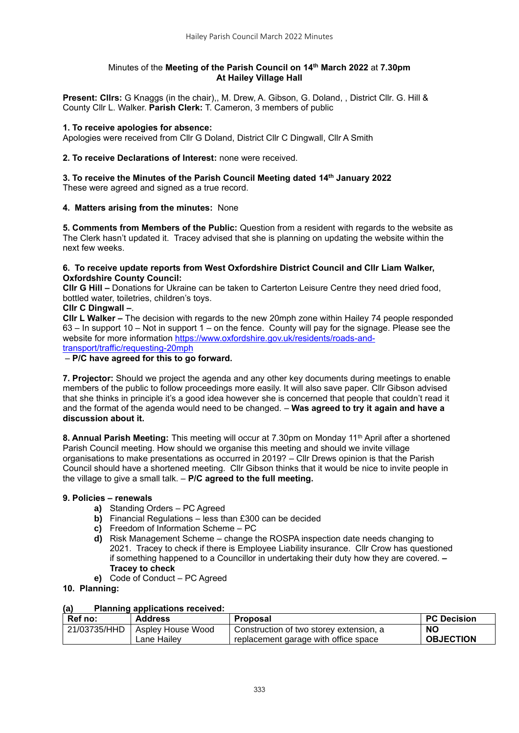## Minutes of the **Meeting of the Parish Council on 14 th March 2022** at **7.30pm At Hailey Village Hall**

**Present: Cllrs:** G Knaggs (in the chair),, M. Drew, A. Gibson, G. Doland, , District Cllr. G. Hill & County Cllr L. Walker. **Parish Clerk:** T. Cameron, 3 members of public

## **1. To receive apologies for absence:**

Apologies were received from Cllr G Doland, District Cllr C Dingwall, Cllr A Smith

## **2. To receive Declarations of Interest:** none were received.

**3. To receive the Minutes of the Parish Council Meeting dated 14th January 2022** These were agreed and signed as a true record.

## **4. Matters arising from the minutes:** None

**5. Comments from Members of the Public:** Question from a resident with regards to the website as The Clerk hasn't updated it. Tracey advised that she is planning on updating the website within the next few weeks.

### **6. To receive update reports from West Oxfordshire District Council and Cllr Liam Walker, Oxfordshire County Council:**

**Cllr G Hill –** Donations for Ukraine can be taken to Carterton Leisure Centre they need dried food, bottled water, toiletries, children's toys.

## **Cllr C Dingwall –**.

**Cllr L Walker –** The decision with regards to the new 20mph zone within Hailey 74 people responded 63 – In support 10 – Not in support 1 – on the fence. County will pay for the signage. Please see the website for more information [https://www.oxfordshire.gov.uk/residents/roads-and-](https://www.oxfordshire.gov.uk/residents/roads-and-transport/traffic/requesting-20mph)

[transport/traffic/requesting-20mph](https://www.oxfordshire.gov.uk/residents/roads-and-transport/traffic/requesting-20mph)

– **P/C have agreed for this to go forward.**

**7. Projector:** Should we project the agenda and any other key documents during meetings to enable members of the public to follow proceedings more easily. It will also save paper. Cllr Gibson advised that she thinks in principle it's a good idea however she is concerned that people that couldn't read it and the format of the agenda would need to be changed. – **Was agreed to try it again and have a discussion about it.**

**8. Annual Parish Meeting:** This meeting will occur at 7.30pm on Monday 11th April after a shortened Parish Council meeting. How should we organise this meeting and should we invite village organisations to make presentations as occurred in 2019? – Cllr Drews opinion is that the Parish Council should have a shortened meeting. Cllr Gibson thinks that it would be nice to invite people in the village to give a small talk. – **P/C agreed to the full meeting.**

#### **9. Policies – renewals**

- **a)** Standing Orders PC Agreed
- **b)** Financial Regulations less than £300 can be decided
- **c)** Freedom of Information Scheme PC
- **d)** Risk Management Scheme change the ROSPA inspection date needs changing to 2021. Tracey to check if there is Employee Liability insurance. Cllr Crow has questioned if something happened to a Councillor in undertaking their duty how they are covered. **– Tracey to check**
- **e)** Code of Conduct PC Agreed

## **10. Planning:**

## **(a) Planning applications received:**

| Ref no:      | <b>Address</b>    | <b>Proposal</b>                         | <b>PC Decision</b> |
|--------------|-------------------|-----------------------------------------|--------------------|
| 21/03735/HHD | Aspley House Wood | Construction of two storey extension, a | <b>NO</b>          |
|              | Lane Hailev       | replacement garage with office space    | <b>OBJECTION</b>   |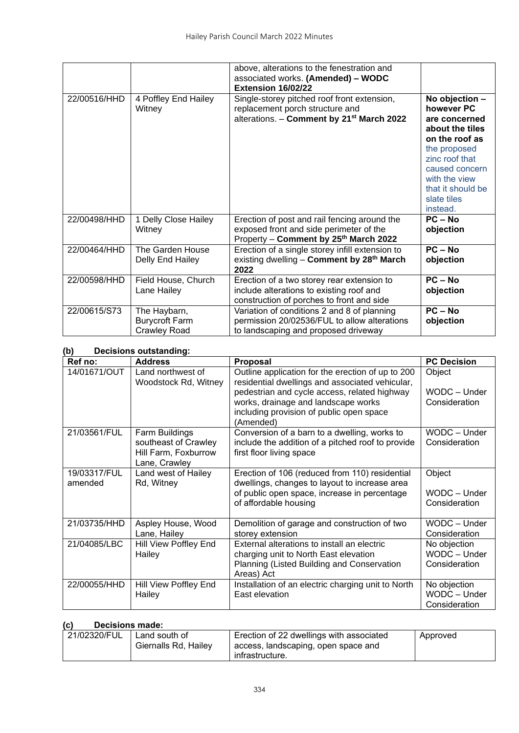|              |                                                              | above, alterations to the fenestration and<br>associated works. (Amended) - WODC<br>Extension 16/02/22                                       |                                                                                                                                                                                                         |
|--------------|--------------------------------------------------------------|----------------------------------------------------------------------------------------------------------------------------------------------|---------------------------------------------------------------------------------------------------------------------------------------------------------------------------------------------------------|
| 22/00516/HHD | 4 Poffley End Hailey<br>Witney                               | Single-storey pitched roof front extension,<br>replacement porch structure and<br>alterations. - Comment by 21 <sup>st</sup> March 2022      | No objection -<br>however PC<br>are concerned<br>about the tiles<br>on the roof as<br>the proposed<br>zinc roof that<br>caused concern<br>with the view<br>that it should be<br>slate tiles<br>instead. |
| 22/00498/HHD | 1 Delly Close Hailey<br>Witney                               | Erection of post and rail fencing around the<br>exposed front and side perimeter of the<br>Property - Comment by 25 <sup>th</sup> March 2022 | $PC - No$<br>objection                                                                                                                                                                                  |
| 22/00464/HHD | The Garden House<br>Delly End Hailey                         | Erection of a single storey infill extension to<br>existing dwelling - Comment by 28 <sup>th</sup> March<br>2022                             | $PC - No$<br>objection                                                                                                                                                                                  |
| 22/00598/HHD | Field House, Church<br>Lane Hailey                           | Erection of a two storey rear extension to<br>include alterations to existing roof and<br>construction of porches to front and side          | $PC - No$<br>objection                                                                                                                                                                                  |
| 22/00615/S73 | The Haybarn,<br><b>Burycroft Farm</b><br><b>Crawley Road</b> | Variation of conditions 2 and 8 of planning<br>permission 20/02536/FUL to allow alterations<br>to landscaping and proposed driveway          | $PC - No$<br>objection                                                                                                                                                                                  |

# **(b) Decisions outstanding:**

| יש<br>Decisions outstanding. |                                                                                 |                                                                                                                                                                          |                                               |  |  |
|------------------------------|---------------------------------------------------------------------------------|--------------------------------------------------------------------------------------------------------------------------------------------------------------------------|-----------------------------------------------|--|--|
| Ref no:                      | <b>Address</b>                                                                  | <b>Proposal</b>                                                                                                                                                          | <b>PC Decision</b>                            |  |  |
| 14/01671/OUT                 | Land northwest of<br>Woodstock Rd, Witney                                       | Outline application for the erection of up to 200<br>residential dwellings and associated vehicular,<br>pedestrian and cycle access, related highway                     | Object<br>WODC - Under                        |  |  |
|                              |                                                                                 | works, drainage and landscape works<br>including provision of public open space<br>(Amended)                                                                             | Consideration                                 |  |  |
| 21/03561/FUL                 | Farm Buildings<br>southeast of Crawley<br>Hill Farm, Foxburrow<br>Lane, Crawley | Conversion of a barn to a dwelling, works to<br>include the addition of a pitched roof to provide<br>first floor living space                                            | WODC - Under<br>Consideration                 |  |  |
| 19/03317/FUL<br>amended      | Land west of Hailey<br>Rd, Witney                                               | Erection of 106 (reduced from 110) residential<br>dwellings, changes to layout to increase area<br>of public open space, increase in percentage<br>of affordable housing | Object<br>WODC - Under<br>Consideration       |  |  |
| 21/03735/HHD                 | Aspley House, Wood                                                              | Demolition of garage and construction of two                                                                                                                             | WODC - Under                                  |  |  |
|                              | Lane, Hailey                                                                    | storey extension                                                                                                                                                         | Consideration                                 |  |  |
| 21/04085/LBC                 | Hill View Poffley End<br>Hailey                                                 | External alterations to install an electric<br>charging unit to North East elevation<br>Planning (Listed Building and Conservation<br>Areas) Act                         | No objection<br>WODC - Under<br>Consideration |  |  |
| 22/00055/HHD                 | Hill View Poffley End<br>Hailey                                                 | Installation of an electric charging unit to North<br>East elevation                                                                                                     | No objection<br>WODC - Under<br>Consideration |  |  |

## **(c) Decisions made:**

| 21/02320/FUL | Land south of        | Erection of 22 dwellings with associated | Approved |
|--------------|----------------------|------------------------------------------|----------|
|              | Giernalls Rd, Hailey | access, landscaping, open space and      |          |
|              |                      | infrastructure.                          |          |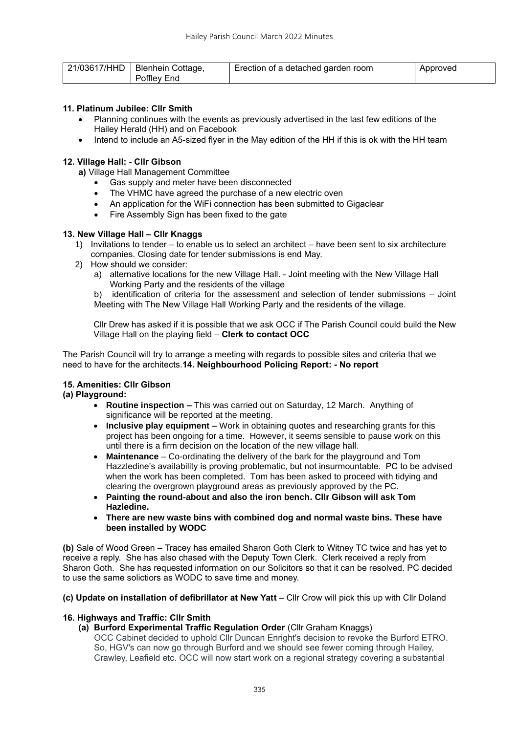| 21/03617/HHD   Blenhein Cottage, | Erection of a detached garden room | Approved |
|----------------------------------|------------------------------------|----------|
| Poffley End                      |                                    |          |

## **11. Platinum Jubilee: Cllr Smith**

- Planning continues with the events as previously advertised in the last few editions of the Hailey Herald (HH) and on Facebook
- Intend to include an A5-sized flyer in the May edition of the HH if this is ok with the HH team

## **12. Village Hall: - Cllr Gibson**

**a)** Village Hall Management Committee

- Gas supply and meter have been disconnected
- The VHMC have agreed the purchase of a new electric oven
- An application for the WiFi connection has been submitted to Gigaclear
- Fire Assembly Sign has been fixed to the gate

## **13. New Village Hall – Cllr Knaggs**

- 1) Invitations to tender to enable us to select an architect have been sent to six architecture companies. Closing date for tender submissions is end May.
- 2) How should we consider:
	- a) alternative locations for the new Village Hall. Joint meeting with the New Village Hall Working Party and the residents of the village

b) identification of criteria for the assessment and selection of tender submissions – Joint Meeting with The New Village Hall Working Party and the residents of the village.

Cllr Drew has asked if it is possible that we ask OCC if The Parish Council could build the New Village Hall on the playing field – **Clerk to contact OCC**

The Parish Council will try to arrange a meeting with regards to possible sites and criteria that we need to have for the architects.**14. Neighbourhood Policing Report: - No report**

## **15. Amenities: Cllr Gibson**

## **(a) Playground:**

- **Routine inspection –** This was carried out on Saturday, 12 March. Anything of significance will be reported at the meeting.
- **Inclusive play equipment** Work in obtaining quotes and researching grants for this project has been ongoing for a time. However, it seems sensible to pause work on this until there is a firm decision on the location of the new village hall.
- **Maintenance**  Co-ordinating the delivery of the bark for the playground and Tom Hazzledine's availability is proving problematic, but not insurmountable. PC to be advised when the work has been completed. Tom has been asked to proceed with tidying and clearing the overgrown playground areas as previously approved by the PC.
- **Painting the round-about and also the iron bench. Cllr Gibson will ask Tom Hazledine.**
- **There are new waste bins with combined dog and normal waste bins. These have been installed by WODC**

**(b)** Sale of Wood Green – Tracey has emailed Sharon Goth Clerk to Witney TC twice and has yet to receive a reply. She has also chased with the Deputy Town Clerk. Clerk received a reply from Sharon Goth. She has requested information on our Solicitors so that it can be resolved. PC decided to use the same solictiors as WODC to save time and money.

#### **(c) Update on installation of defibrillator at New Yatt** – Cllr Crow will pick this up with Cllr Doland

#### **16. Highways and Traffic: Cllr Smith**

#### **(a) Burford Experimental Traffic Regulation Order** (Cllr Graham Knaggs)

OCC Cabinet decided to uphold Cllr Duncan Enright's decision to revoke the Burford ETRO. So, HGV's can now go through Burford and we should see fewer coming through Hailey, Crawley, Leafield etc. OCC will now start work on a regional strategy covering a substantial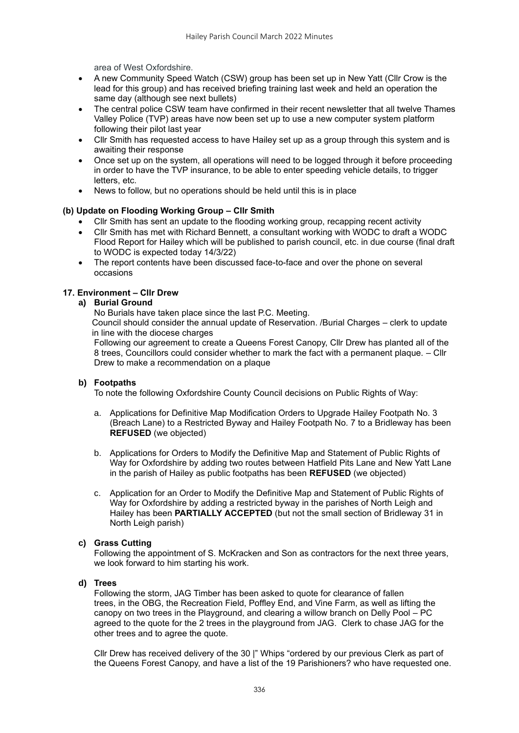area of West Oxfordshire.

- A new Community Speed Watch (CSW) group has been set up in New Yatt (Cllr Crow is the lead for this group) and has received briefing training last week and held an operation the same day (although see next bullets)
- The central police CSW team have confirmed in their recent newsletter that all twelve Thames Valley Police (TVP) areas have now been set up to use a new computer system platform following their pilot last year
- Cllr Smith has requested access to have Hailey set up as a group through this system and is awaiting their response
- Once set up on the system, all operations will need to be logged through it before proceeding in order to have the TVP insurance, to be able to enter speeding vehicle details, to trigger letters, etc.
- News to follow, but no operations should be held until this is in place

## **(b) Update on Flooding Working Group – Cllr Smith**

- Cllr Smith has sent an update to the flooding working group, recapping recent activity
- Cllr Smith has met with Richard Bennett, a consultant working with WODC to draft a WODC Flood Report for Hailey which will be published to parish council, etc. in due course (final draft to WODC is expected today 14/3/22)
- The report contents have been discussed face-to-face and over the phone on several occasions

## **17. Environment – Cllr Drew**

## **a) Burial Ground**

No Burials have taken place since the last P.C. Meeting.

Council should consider the annual update of Reservation. /Burial Charges – clerk to update in line with the diocese charges

Following our agreement to create a Queens Forest Canopy, Cllr Drew has planted all of the 8 trees, Councillors could consider whether to mark the fact with a permanent plaque. – Cllr Drew to make a recommendation on a plaque

#### **b) Footpaths**

To note the following Oxfordshire County Council decisions on Public Rights of Way:

- a. Applications for Definitive Map Modification Orders to Upgrade Hailey Footpath No. 3 (Breach Lane) to a Restricted Byway and Hailey Footpath No. 7 to a Bridleway has been **REFUSED** (we objected)
- b. Applications for Orders to Modify the Definitive Map and Statement of Public Rights of Way for Oxfordshire by adding two routes between Hatfield Pits Lane and New Yatt Lane in the parish of Hailey as public footpaths has been **REFUSED** (we objected)
- c. Application for an Order to Modify the Definitive Map and Statement of Public Rights of Way for Oxfordshire by adding a restricted byway in the parishes of North Leigh and Hailey has been **PARTIALLY ACCEPTED** (but not the small section of Bridleway 31 in North Leigh parish)

## **c) Grass Cutting**

Following the appointment of S. McKracken and Son as contractors for the next three years, we look forward to him starting his work.

#### **d) Trees**

Following the storm, JAG Timber has been asked to quote for clearance of fallen trees, in the OBG, the Recreation Field, Poffley End, and Vine Farm, as well as lifting the canopy on two trees in the Playground, and clearing a willow branch on Delly Pool – PC agreed to the quote for the 2 trees in the playground from JAG. Clerk to chase JAG for the other trees and to agree the quote.

Cllr Drew has received delivery of the 30 |" Whips "ordered by our previous Clerk as part of the Queens Forest Canopy, and have a list of the 19 Parishioners? who have requested one.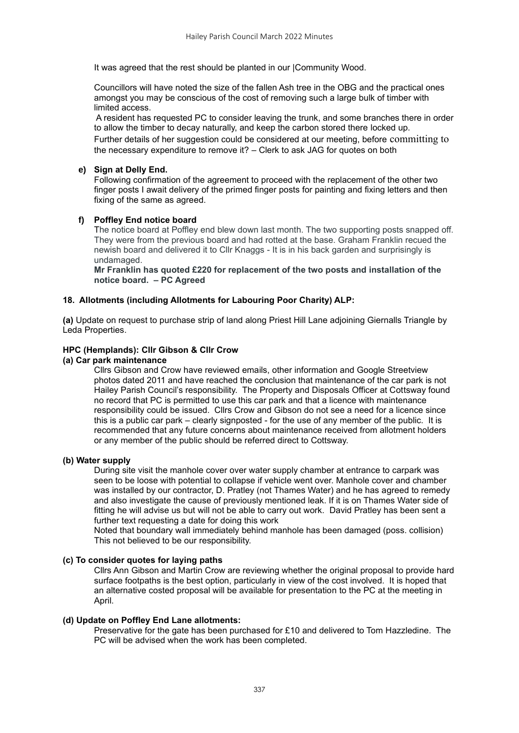It was agreed that the rest should be planted in our |Community Wood.

Councillors will have noted the size of the fallen Ash tree in the OBG and the practical ones amongst you may be conscious of the cost of removing such a large bulk of timber with limited access.

A resident has requested PC to consider leaving the trunk, and some branches there in order to allow the timber to decay naturally, and keep the carbon stored there locked up. Further details of her suggestion could be considered at our meeting, before committing to the necessary expenditure to remove it? – Clerk to ask JAG for quotes on both

## **e) Sign at Delly End.**

Following confirmation of the agreement to proceed with the replacement of the other two finger posts I await delivery of the primed finger posts for painting and fixing letters and then fixing of the same as agreed.

## **f) Poffley End notice board**

The notice board at Poffley end blew down last month. The two supporting posts snapped off. They were from the previous board and had rotted at the base. Graham Franklin recued the newish board and delivered it to Cllr Knaggs - It is in his back garden and surprisingly is undamaged.

**Mr Franklin has quoted £220 for replacement of the two posts and installation of the notice board. – PC Agreed**

## **18. Allotments (including Allotments for Labouring Poor Charity) ALP:**

**(a)** Update on request to purchase strip of land along Priest Hill Lane adjoining Giernalls Triangle by Leda Properties.

## **HPC (Hemplands): Cllr Gibson & Cllr Crow**

## **(a) Car park maintenance**

Cllrs Gibson and Crow have reviewed emails, other information and Google Streetview photos dated 2011 and have reached the conclusion that maintenance of the car park is not Hailey Parish Council's responsibility. The Property and Disposals Officer at Cottsway found no record that PC is permitted to use this car park and that a licence with maintenance responsibility could be issued. Cllrs Crow and Gibson do not see a need for a licence since this is a public car park – clearly signposted - for the use of any member of the public. It is recommended that any future concerns about maintenance received from allotment holders or any member of the public should be referred direct to Cottsway.

## **(b) Water supply**

During site visit the manhole cover over water supply chamber at entrance to carpark was seen to be loose with potential to collapse if vehicle went over. Manhole cover and chamber was installed by our contractor, D. Pratley (not Thames Water) and he has agreed to remedy and also investigate the cause of previously mentioned leak. If it is on Thames Water side of fitting he will advise us but will not be able to carry out work. David Pratley has been sent a further text requesting a date for doing this work

Noted that boundary wall immediately behind manhole has been damaged (poss. collision) This not believed to be our responsibility.

#### **(c) To consider quotes for laying paths**

Cllrs Ann Gibson and Martin Crow are reviewing whether the original proposal to provide hard surface footpaths is the best option, particularly in view of the cost involved. It is hoped that an alternative costed proposal will be available for presentation to the PC at the meeting in April.

#### **(d) Update on Poffley End Lane allotments:**

Preservative for the gate has been purchased for £10 and delivered to Tom Hazzledine. The PC will be advised when the work has been completed.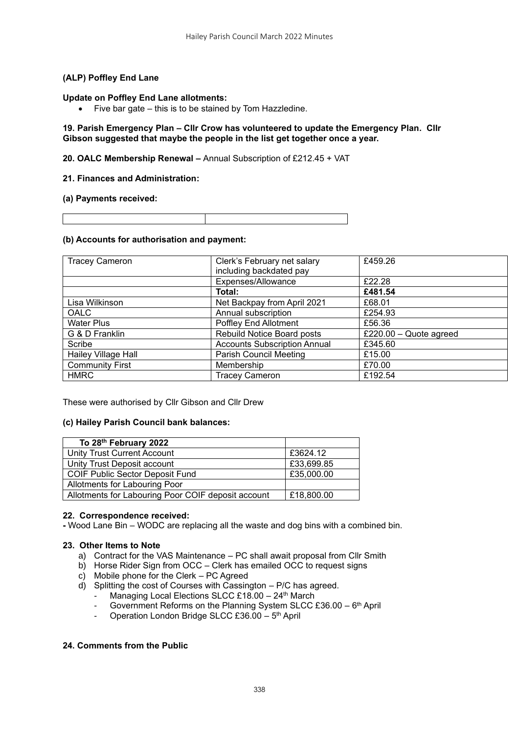## **(ALP) Poffley End Lane**

#### **Update on Poffley End Lane allotments:**

• Five bar gate – this is to be stained by Tom Hazzledine.

**19. Parish Emergency Plan – Cllr Crow has volunteered to update the Emergency Plan. Cllr Gibson suggested that maybe the people in the list get together once a year.**

### **20. OALC Membership Renewal –** Annual Subscription of £212.45 + VAT

## **21. Finances and Administration:**

#### **(a) Payments received:**

### **(b) Accounts for authorisation and payment:**

| <b>Tracey Cameron</b>  | Clerk's February net salary<br>including backdated pay | £459.26                |
|------------------------|--------------------------------------------------------|------------------------|
|                        | Expenses/Allowance                                     | £22.28                 |
|                        | Total:                                                 | £481.54                |
| Lisa Wilkinson         | Net Backpay from April 2021                            | £68.01                 |
| OALC                   | Annual subscription                                    | £254.93                |
| <b>Water Plus</b>      | Poffley End Allotment                                  | £56.36                 |
| G & D Franklin         | Rebuild Notice Board posts                             | £220.00 - Quote agreed |
| Scribe                 | <b>Accounts Subscription Annual</b>                    | £345.60                |
| Hailey Village Hall    | Parish Council Meeting                                 | £15.00                 |
| <b>Community First</b> | Membership                                             | £70.00                 |
| <b>HMRC</b>            | <b>Tracey Cameron</b>                                  | £192.54                |

These were authorised by Cllr Gibson and Cllr Drew

#### **(c) Hailey Parish Council bank balances:**

| To 28th February 2022                              |            |
|----------------------------------------------------|------------|
| Unity Trust Current Account                        | £3624.12   |
| Unity Trust Deposit account                        | £33,699.85 |
| <b>COIF Public Sector Deposit Fund</b>             | £35,000.00 |
| Allotments for Labouring Poor                      |            |
| Allotments for Labouring Poor COIF deposit account | £18,800.00 |

#### **22. Correspondence received:**

**-** Wood Lane Bin – WODC are replacing all the waste and dog bins with a combined bin.

#### **23. Other Items to Note**

- a) Contract for the VAS Maintenance PC shall await proposal from Cllr Smith
- b) Horse Rider Sign from OCC Clerk has emailed OCC to request signs
- c) Mobile phone for the Clerk PC Agreed
- d) Splitting the cost of Courses with Cassington P/C has agreed.
	- Managing Local Elections SLCC £18.00 24<sup>th</sup> March
	- Government Reforms on the Planning System SLCC £36.00 6<sup>th</sup> April
	- Operation London Bridge SLCC £36.00 5<sup>th</sup> April

## **24. Comments from the Public**